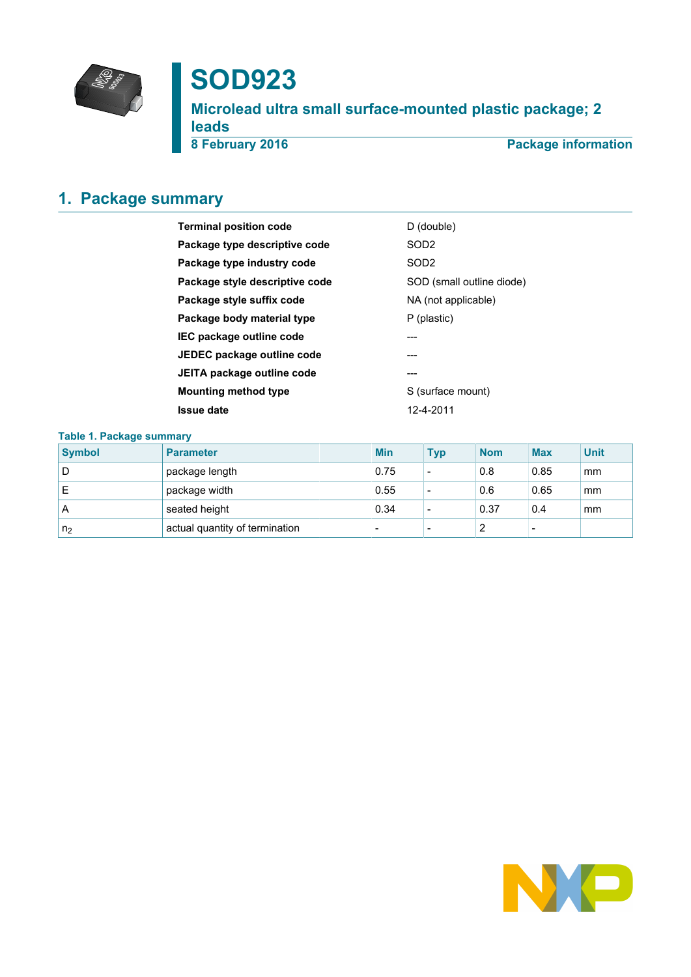

# **SOD923**

**Microlead ultra small surface-mounted plastic package; 2** leads<br>8 February 2016

**Package information** 

# <span id="page-0-0"></span>**1. Package summary**

| <b>Terminal position code</b>  | D (double)                |
|--------------------------------|---------------------------|
| Package type descriptive code  | SOD <sub>2</sub>          |
| Package type industry code     | SOD <sub>2</sub>          |
| Package style descriptive code | SOD (small outline diode) |
| Package style suffix code      | NA (not applicable)       |
| Package body material type     | P (plastic)               |
| IEC package outline code       | ---                       |
| JEDEC package outline code     |                           |
| JEITA package outline code     | ---                       |
| Mounting method type           | S (surface mount)         |
| <b>Issue date</b>              | 12-4-2011                 |
|                                |                           |

### **Table 1. Package summary**

| <b>Symbol</b>  | <b>Parameter</b>               | <b>Min</b>               | <b>Typ</b> | <b>Nom</b> | <b>Max</b> | <b>Unit</b> |
|----------------|--------------------------------|--------------------------|------------|------------|------------|-------------|
| D              | package length                 | 0.75                     | ۰          | 0.8        | 0.85       | mm          |
|                | package width                  | 0.55                     | ۰          | 0.6        | 0.65       | mm          |
| A              | seated height                  | 0.34                     |            | 0.37       | 0.4        | mm          |
| n <sub>2</sub> | actual quantity of termination | $\overline{\phantom{0}}$ | ٠          |            | -          |             |

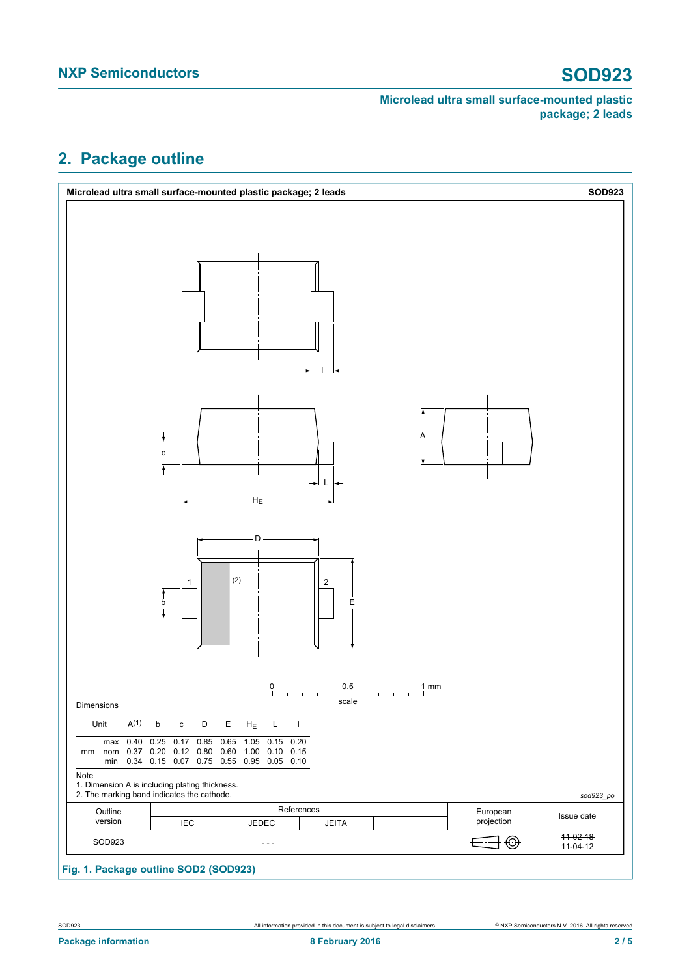# <span id="page-1-0"></span>**2. Package outline**

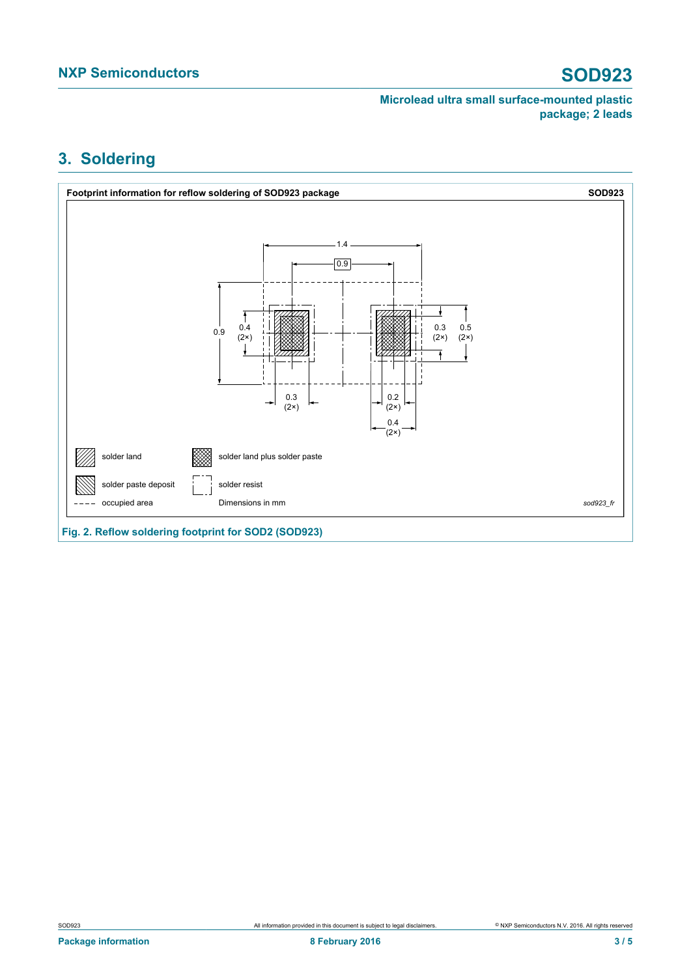# <span id="page-2-0"></span>**3. Soldering**



**Fig. 2. Reflow soldering footprint for SOD2 (SOD923)**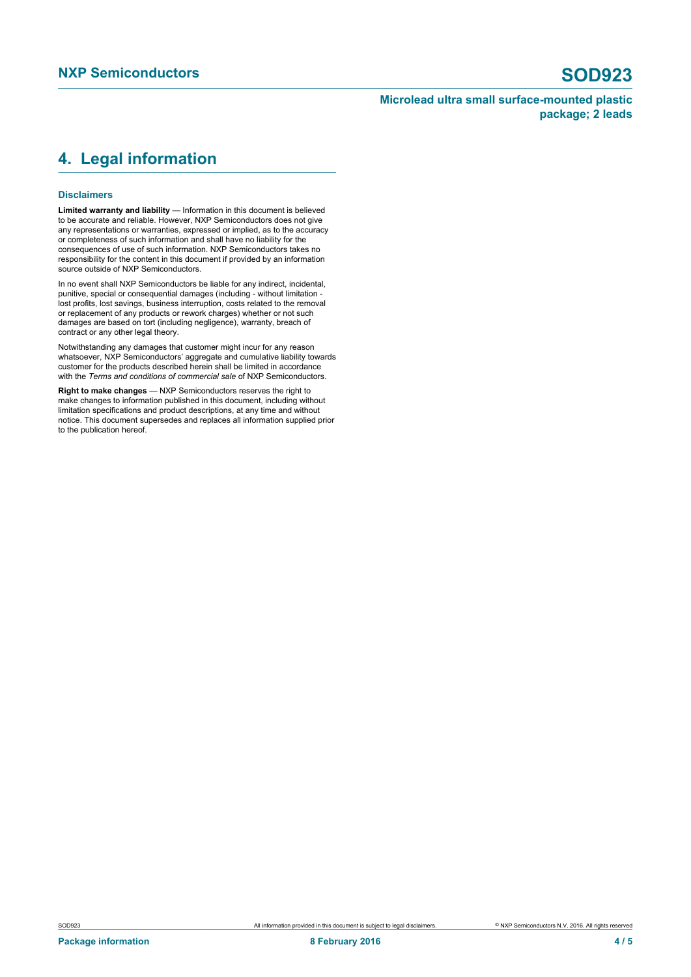# <span id="page-3-0"></span>**4. Legal information**

### **Disclaimers**

**Limited warranty and liability** — Information in this document is believed to be accurate and reliable. However, NXP Semiconductors does not give any representations or warranties, expressed or implied, as to the accuracy or completeness of such information and shall have no liability for the consequences of use of such information. NXP Semiconductors takes no responsibility for the content in this document if provided by an information source outside of NXP Semiconductors.

In no event shall NXP Semiconductors be liable for any indirect, incidental, punitive, special or consequential damages (including - without limitation lost profits, lost savings, business interruption, costs related to the removal or replacement of any products or rework charges) whether or not such damages are based on tort (including negligence), warranty, breach of contract or any other legal theory.

Notwithstanding any damages that customer might incur for any reason whatsoever, NXP Semiconductors' aggregate and cumulative liability towards customer for the products described herein shall be limited in accordance with the *Terms and conditions of commercial sale* of NXP Semiconductors.

**Right to make changes** — NXP Semiconductors reserves the right to make changes to information published in this document, including without limitation specifications and product descriptions, at any time and without notice. This document supersedes and replaces all information supplied prior to the publication hereof.